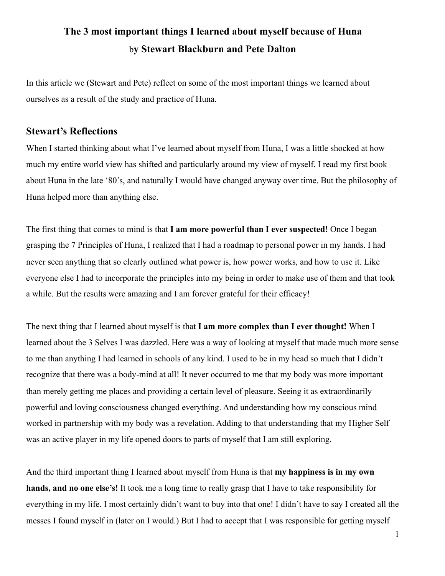## **The 3 most important things I learned about myself because of Huna** b**y Stewart Blackburn and Pete Dalton**

In this article we (Stewart and Pete) reflect on some of the most important things we learned about ourselves as a result of the study and practice of Huna.

## **Stewart's Reflections**

When I started thinking about what I've learned about myself from Huna, I was a little shocked at how much my entire world view has shifted and particularly around my view of myself. I read my first book about Huna in the late '80's, and naturally I would have changed anyway over time. But the philosophy of Huna helped more than anything else.

The first thing that comes to mind is that **I am more powerful than I ever suspected!** Once I began grasping the 7 Principles of Huna, I realized that I had a roadmap to personal power in my hands. I had never seen anything that so clearly outlined what power is, how power works, and how to use it. Like everyone else I had to incorporate the principles into my being in order to make use of them and that took a while. But the results were amazing and I am forever grateful for their efficacy!

The next thing that I learned about myself is that **I am more complex than I ever thought!** When I learned about the 3 Selves I was dazzled. Here was a way of looking at myself that made much more sense to me than anything I had learned in schools of any kind. I used to be in my head so much that I didn't recognize that there was a body-mind at all! It never occurred to me that my body was more important than merely getting me places and providing a certain level of pleasure. Seeing it as extraordinarily powerful and loving consciousness changed everything. And understanding how my conscious mind worked in partnership with my body was a revelation. Adding to that understanding that my Higher Self was an active player in my life opened doors to parts of myself that I am still exploring.

And the third important thing I learned about myself from Huna is that **my happiness is in my own hands, and no one else's!** It took me a long time to really grasp that I have to take responsibility for everything in my life. I most certainly didn't want to buy into that one! I didn't have to say I created all the messes I found myself in (later on I would.) But I had to accept that I was responsible for getting myself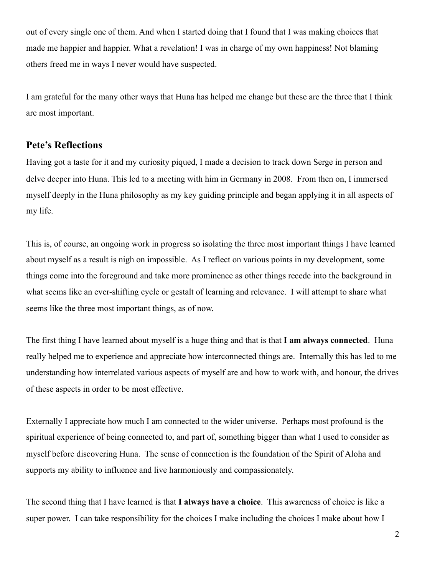out of every single one of them. And when I started doing that I found that I was making choices that made me happier and happier. What a revelation! I was in charge of my own happiness! Not blaming others freed me in ways I never would have suspected.

I am grateful for the many other ways that Huna has helped me change but these are the three that I think are most important.

## **Pete's Reflections**

Having got a taste for it and my curiosity piqued, I made a decision to track down Serge in person and delve deeper into Huna. This led to a meeting with him in Germany in 2008. From then on, I immersed myself deeply in the Huna philosophy as my key guiding principle and began applying it in all aspects of my life.

This is, of course, an ongoing work in progress so isolating the three most important things I have learned about myself as a result is nigh on impossible. As I reflect on various points in my development, some things come into the foreground and take more prominence as other things recede into the background in what seems like an ever-shifting cycle or gestalt of learning and relevance. I will attempt to share what seems like the three most important things, as of now.

The first thing I have learned about myself is a huge thing and that is that **I am always connected**. Huna really helped me to experience and appreciate how interconnected things are. Internally this has led to me understanding how interrelated various aspects of myself are and how to work with, and honour, the drives of these aspects in order to be most effective.

Externally I appreciate how much I am connected to the wider universe. Perhaps most profound is the spiritual experience of being connected to, and part of, something bigger than what I used to consider as myself before discovering Huna. The sense of connection is the foundation of the Spirit of Aloha and supports my ability to influence and live harmoniously and compassionately.

The second thing that I have learned is that **I always have a choice**. This awareness of choice is like a super power. I can take responsibility for the choices I make including the choices I make about how I